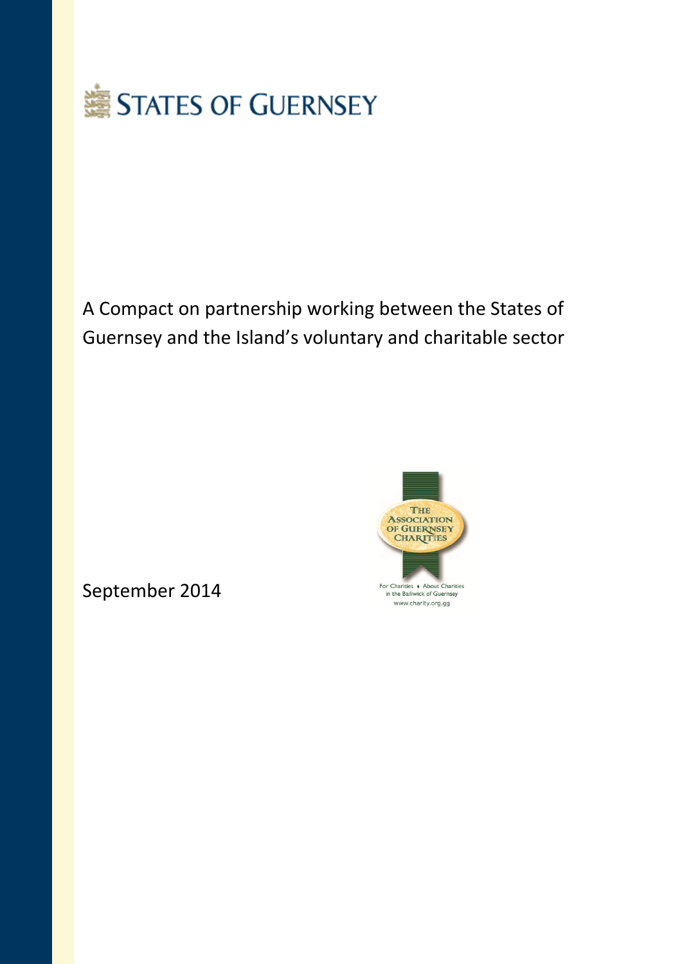

# A Compact on partnership working between the States of Guernsey and the Island's voluntary and charitable sector



September 2014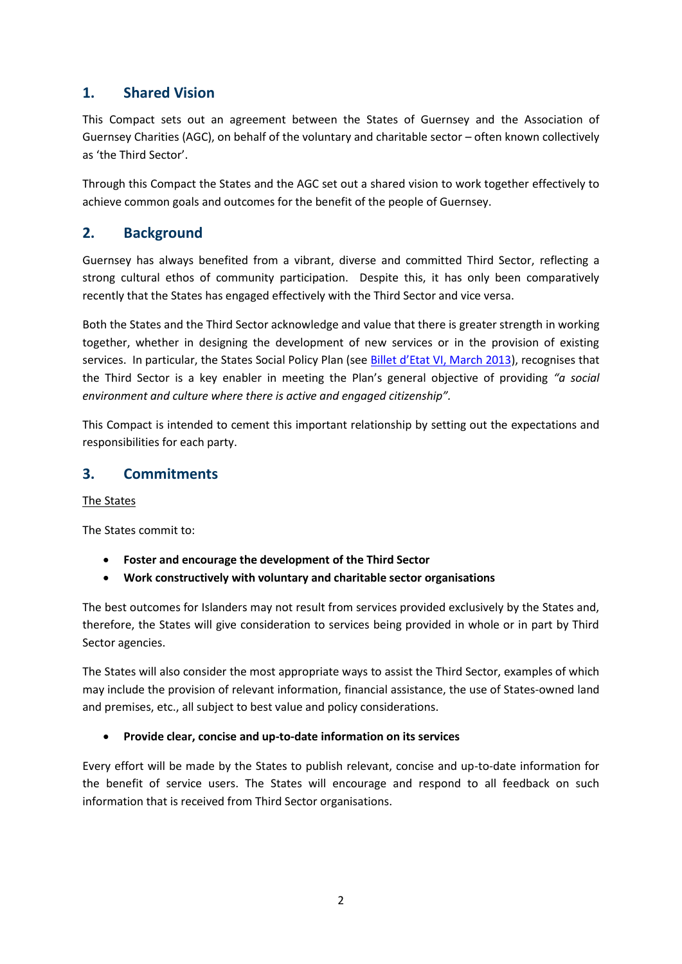# **1. Shared Vision**

This Compact sets out an agreement between the States of Guernsey and the Association of Guernsey Charities (AGC), on behalf of the voluntary and charitable sector – often known collectively as 'the Third Sector'.

Through this Compact the States and the AGC set out a shared vision to work together effectively to achieve common goals and outcomes for the benefit of the people of Guernsey.

# **2. Background**

Guernsey has always benefited from a vibrant, diverse and committed Third Sector, reflecting a strong cultural ethos of community participation. Despite this, it has only been comparatively recently that the States has engaged effectively with the Third Sector and vice versa.

Both the States and the Third Sector acknowledge and value that there is greater strength in working together, whether in designing the development of new services or in the provision of existing services. In particular, the States Social Policy Plan (see [Billet d'Etat VI, March 2013](http://www.gov.gg/CHttpHandler.ashx?id=82647&p=0)), recognises that the Third Sector is a key enabler in meeting the Plan's general objective of providing *"a social environment and culture where there is active and engaged citizenship".*

This Compact is intended to cement this important relationship by setting out the expectations and responsibilities for each party.

# **3. Commitments**

The States

The States commit to:

- **Foster and encourage the development of the Third Sector**
- **Work constructively with voluntary and charitable sector organisations**

The best outcomes for Islanders may not result from services provided exclusively by the States and, therefore, the States will give consideration to services being provided in whole or in part by Third Sector agencies.

The States will also consider the most appropriate ways to assist the Third Sector, examples of which may include the provision of relevant information, financial assistance, the use of States-owned land and premises, etc., all subject to best value and policy considerations.

#### **Provide clear, concise and up-to-date information on its services**

Every effort will be made by the States to publish relevant, concise and up-to-date information for the benefit of service users. The States will encourage and respond to all feedback on such information that is received from Third Sector organisations.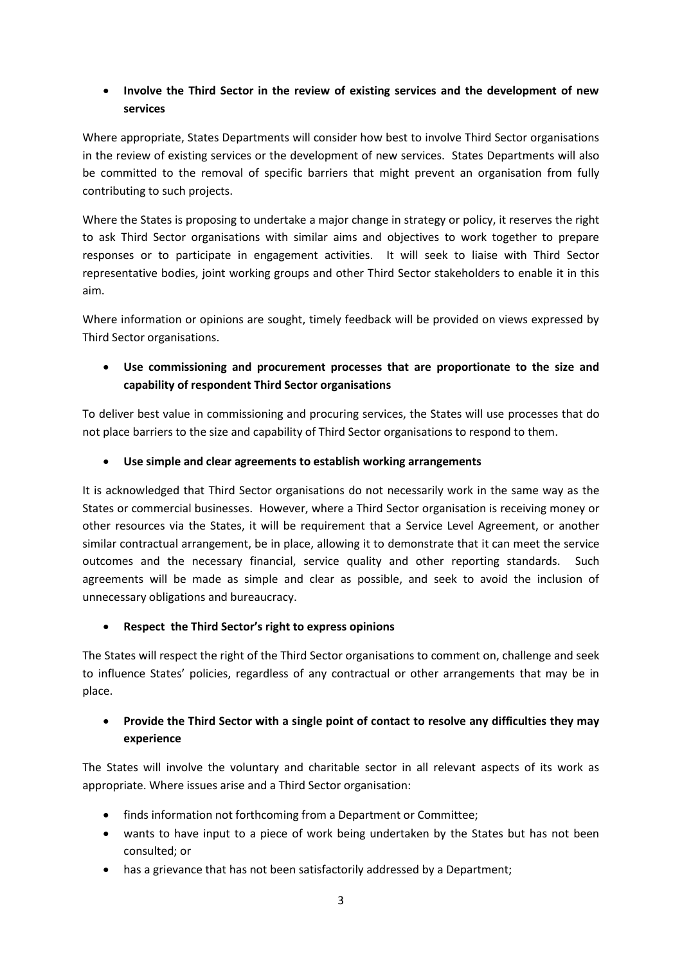## **Involve the Third Sector in the review of existing services and the development of new services**

Where appropriate, States Departments will consider how best to involve Third Sector organisations in the review of existing services or the development of new services. States Departments will also be committed to the removal of specific barriers that might prevent an organisation from fully contributing to such projects.

Where the States is proposing to undertake a major change in strategy or policy, it reserves the right to ask Third Sector organisations with similar aims and objectives to work together to prepare responses or to participate in engagement activities. It will seek to liaise with Third Sector representative bodies, joint working groups and other Third Sector stakeholders to enable it in this aim.

Where information or opinions are sought, timely feedback will be provided on views expressed by Third Sector organisations.

 **Use commissioning and procurement processes that are proportionate to the size and capability of respondent Third Sector organisations**

To deliver best value in commissioning and procuring services, the States will use processes that do not place barriers to the size and capability of Third Sector organisations to respond to them.

**Use simple and clear agreements to establish working arrangements**

It is acknowledged that Third Sector organisations do not necessarily work in the same way as the States or commercial businesses. However, where a Third Sector organisation is receiving money or other resources via the States, it will be requirement that a Service Level Agreement, or another similar contractual arrangement, be in place, allowing it to demonstrate that it can meet the service outcomes and the necessary financial, service quality and other reporting standards. Such agreements will be made as simple and clear as possible, and seek to avoid the inclusion of unnecessary obligations and bureaucracy.

#### **Respect the Third Sector's right to express opinions**

The States will respect the right of the Third Sector organisations to comment on, challenge and seek to influence States' policies, regardless of any contractual or other arrangements that may be in place.

## **Provide the Third Sector with a single point of contact to resolve any difficulties they may experience**

The States will involve the voluntary and charitable sector in all relevant aspects of its work as appropriate. Where issues arise and a Third Sector organisation:

- finds information not forthcoming from a Department or Committee;
- wants to have input to a piece of work being undertaken by the States but has not been consulted; or
- has a grievance that has not been satisfactorily addressed by a Department;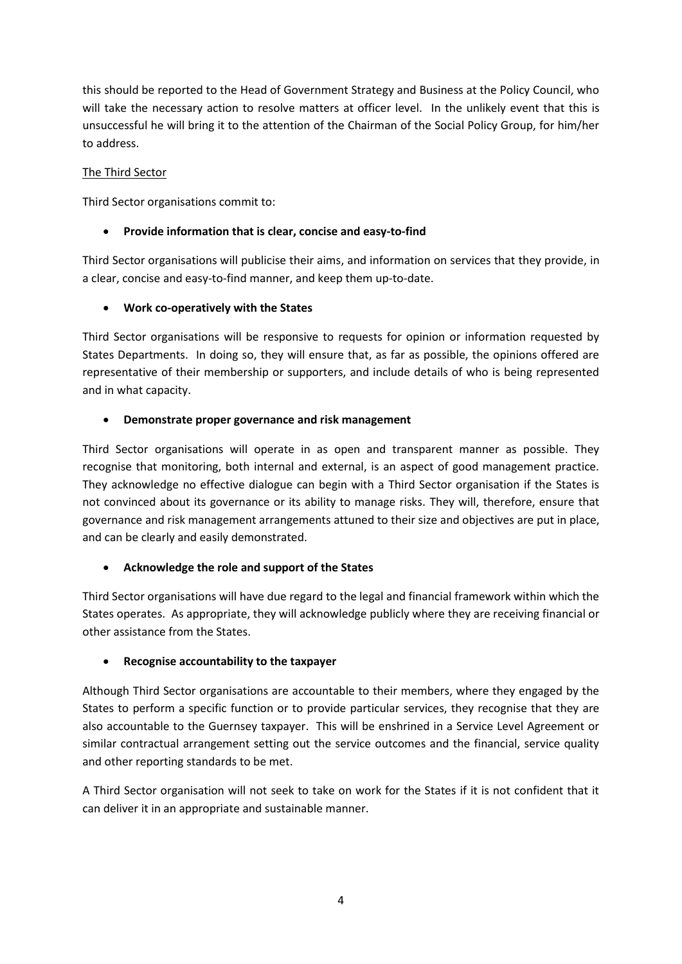this should be reported to the Head of Government Strategy and Business at the Policy Council, who will take the necessary action to resolve matters at officer level. In the unlikely event that this is unsuccessful he will bring it to the attention of the Chairman of the Social Policy Group, for him/her to address.

#### The Third Sector

Third Sector organisations commit to:

### **Provide information that is clear, concise and easy-to-find**

Third Sector organisations will publicise their aims, and information on services that they provide, in a clear, concise and easy-to-find manner, and keep them up-to-date.

#### **Work co-operatively with the States**

Third Sector organisations will be responsive to requests for opinion or information requested by States Departments. In doing so, they will ensure that, as far as possible, the opinions offered are representative of their membership or supporters, and include details of who is being represented and in what capacity.

#### **Demonstrate proper governance and risk management**

Third Sector organisations will operate in as open and transparent manner as possible. They recognise that monitoring, both internal and external, is an aspect of good management practice. They acknowledge no effective dialogue can begin with a Third Sector organisation if the States is not convinced about its governance or its ability to manage risks. They will, therefore, ensure that governance and risk management arrangements attuned to their size and objectives are put in place, and can be clearly and easily demonstrated.

## **Acknowledge the role and support of the States**

Third Sector organisations will have due regard to the legal and financial framework within which the States operates. As appropriate, they will acknowledge publicly where they are receiving financial or other assistance from the States.

#### **Recognise accountability to the taxpayer**

Although Third Sector organisations are accountable to their members, where they engaged by the States to perform a specific function or to provide particular services, they recognise that they are also accountable to the Guernsey taxpayer. This will be enshrined in a Service Level Agreement or similar contractual arrangement setting out the service outcomes and the financial, service quality and other reporting standards to be met.

A Third Sector organisation will not seek to take on work for the States if it is not confident that it can deliver it in an appropriate and sustainable manner.